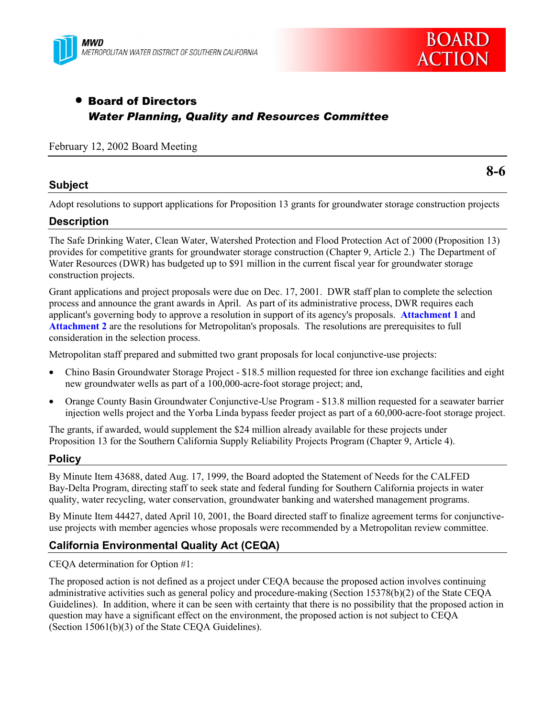



# • Board of Directors *Water Planning, Quality and Resources Committee*

#### February 12, 2002 Board Meeting

### **Subject**

**8-6**

Adopt resolutions to support applications for Proposition 13 grants for groundwater storage construction projects

### **Description**

The Safe Drinking Water, Clean Water, Watershed Protection and Flood Protection Act of 2000 (Proposition 13) provides for competitive grants for groundwater storage construction (Chapter 9, Article 2.) The Department of Water Resources (DWR) has budgeted up to \$91 million in the current fiscal year for groundwater storage construction projects.

Grant applications and project proposals were due on Dec. 17, 2001. DWR staff plan to complete the selection process and announce the grant awards in April. As part of its administrative process, DWR requires each applicant's governing body to approve a resolution in support of its agency's proposals. **Attachment 1** and **Attachment 2** are the resolutions for Metropolitan's proposals. The resolutions are prerequisites to full consideration in the selection process.

Metropolitan staff prepared and submitted two grant proposals for local conjunctive-use projects:

- Chino Basin Groundwater Storage Project \$18.5 million requested for three ion exchange facilities and eight new groundwater wells as part of a 100,000-acre-foot storage project; and,
- Orange County Basin Groundwater Conjunctive-Use Program \$13.8 million requested for a seawater barrier injection wells project and the Yorba Linda bypass feeder project as part of a 60,000-acre-foot storage project.

The grants, if awarded, would supplement the \$24 million already available for these projects under Proposition 13 for the Southern California Supply Reliability Projects Program (Chapter 9, Article 4).

#### **Policy**

By Minute Item 43688, dated Aug. 17, 1999, the Board adopted the Statement of Needs for the CALFED Bay-Delta Program, directing staff to seek state and federal funding for Southern California projects in water quality, water recycling, water conservation, groundwater banking and watershed management programs.

By Minute Item 44427, dated April 10, 2001, the Board directed staff to finalize agreement terms for conjunctiveuse projects with member agencies whose proposals were recommended by a Metropolitan review committee.

### **California Environmental Quality Act (CEQA)**

CEQA determination for Option #1:

The proposed action is not defined as a project under CEQA because the proposed action involves continuing administrative activities such as general policy and procedure-making (Section 15378(b)(2) of the State CEQA Guidelines). In addition, where it can be seen with certainty that there is no possibility that the proposed action in question may have a significant effect on the environment, the proposed action is not subject to CEQA (Section 15061(b)(3) of the State CEQA Guidelines).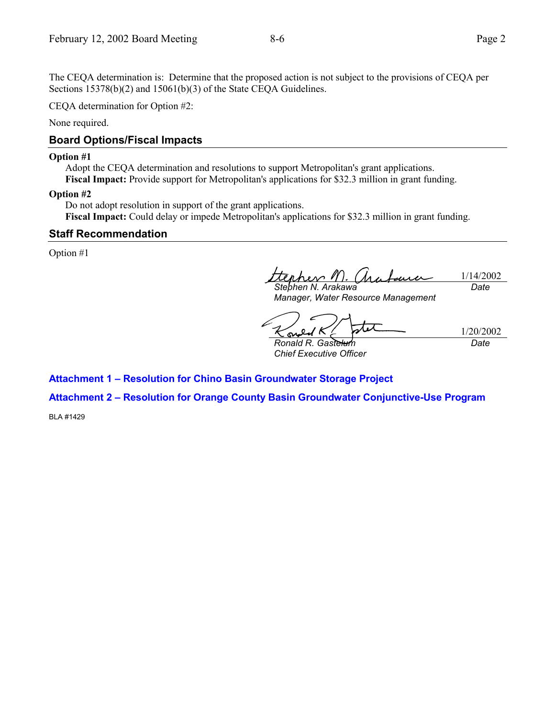The CEQA determination is: Determine that the proposed action is not subject to the provisions of CEQA per Sections 15378(b)(2) and 15061(b)(3) of the State CEQA Guidelines.

CEQA determination for Option #2:

None required.

### **Board Options/Fiscal Impacts**

#### **Option #1**

Adopt the CEQA determination and resolutions to support Metropolitan's grant applications. **Fiscal Impact:** Provide support for Metropolitan's applications for \$32.3 million in grant funding.

#### **Option #2**

Do not adopt resolution in support of the grant applications. **Fiscal Impact:** Could delay or impede Metropolitan's applications for \$32.3 million in grant funding.

### **Staff Recommendation**

Option #1

1/14/2002 *Stephen N. Arakawa Date*

*Manager, Water Resource Management*

tx

1/20/2002

*Ronald R. Gastelum Chief Executive Officer* *Date*

### **Attachment 1 - Resolution for Chino Basin Groundwater Storage Project**

# **Attachment 2 - Resolution for Orange County Basin Groundwater Conjunctive-Use Program**

BLA #1429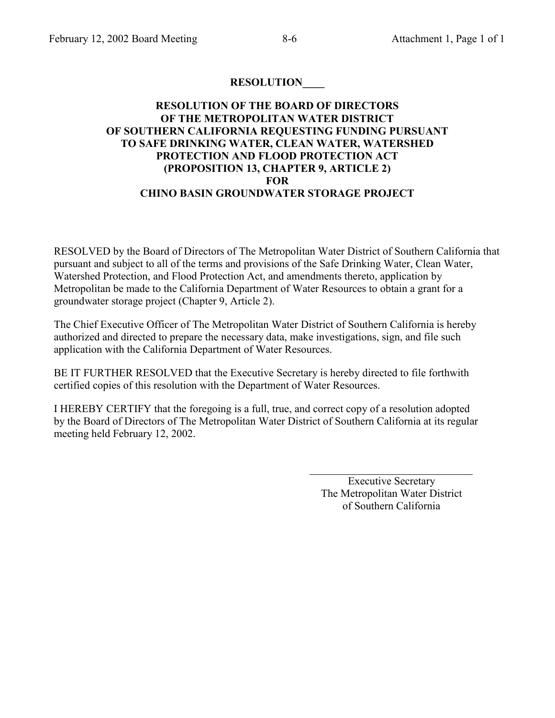## **RESOLUTION\_\_\_\_**

### **RESOLUTION OF THE BOARD OF DIRECTORS OF THE METROPOLITAN WATER DISTRICT OF SOUTHERN CALIFORNIA REQUESTING FUNDING PURSUANT TO SAFE DRINKING WATER, CLEAN WATER, WATERSHED PROTECTION AND FLOOD PROTECTION ACT (PROPOSITION 13, CHAPTER 9, ARTICLE 2) FOR CHINO BASIN GROUNDWATER STORAGE PROJECT**

RESOLVED by the Board of Directors of The Metropolitan Water District of Southern California that pursuant and subject to all of the terms and provisions of the Safe Drinking Water, Clean Water, Watershed Protection, and Flood Protection Act, and amendments thereto, application by Metropolitan be made to the California Department of Water Resources to obtain a grant for a groundwater storage project (Chapter 9, Article 2).

The Chief Executive Officer of The Metropolitan Water District of Southern California is hereby authorized and directed to prepare the necessary data, make investigations, sign, and file such application with the California Department of Water Resources.

BE IT FURTHER RESOLVED that the Executive Secretary is hereby directed to file forthwith certified copies of this resolution with the Department of Water Resources.

I HEREBY CERTIFY that the foregoing is a full, true, and correct copy of a resolution adopted by the Board of Directors of The Metropolitan Water District of Southern California at its regular meeting held February 12, 2002.

> Executive Secretary The Metropolitan Water District of Southern California